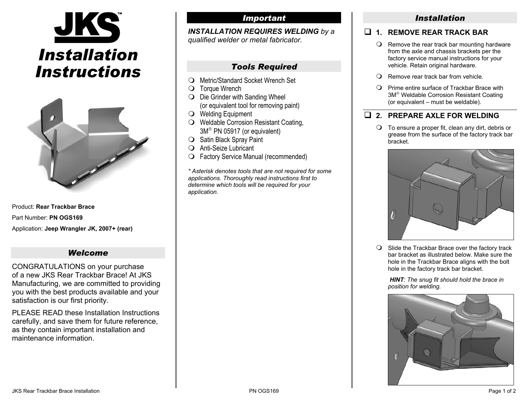



Product: **Rear Trackbar Brace**Part Number: **PN OGS169** Application: **Jeep Wrangler JK, 2007+ (rear)**

# *Welcome*

CONGRATULATIONS on your purchase of a new JKS Rear Trackbar Brace! At JKS Manufacturing, we are committed to providing you with the best products available and your satisfaction is our first priority.

PLEASE READ these Installation Instructions carefully, and save them for future reference, as they contain important installation and maintenance information.

# *Important*

*INSTALLATION REQUIRES WELDING by a qualified welder or metal fabricator.* 

# *Tools Required*

- Metric/Standard Socket Wrench Set
- $\bigcirc$  Torque Wrench
- $\bigcirc$  Die Grinder with Sanding Wheel (or equivalent tool for removing paint)
- Welding Equipment
- Weldable Corrosion Resistant Coating, 3M® PN 05917 (or equivalent)
- $\bigcirc$  Satin Black Spray Paint
- Anti-Seize Lubricant
- Factory Service Manual (recommended)

*\* Asterisk denotes tools that are not required for some applications. Thoroughly read instructions first to determine which tools will be required for your application.*

# *Installation*

#### **1. REMOVE REAR TRACK BAR**

- $\Omega$  Remove the rear track bar mounting hardware from the axle and chassis brackets per the factory service manual instructions for your vehicle. Retain original hardware.
- Remove rear track bar from vehicle*.*
- $\bigcirc$  Prime entire surface of Trackbar Brace with 3M® Weldable Corrosion Resistant Coating (or equivalent – must be weldable).

# **2. PREPARE AXLE FOR WELDING**

 $\bigcirc$  To ensure a proper fit, clean any dirt, debris or grease from the surface of the factory track bar bracket.



 $\bigcirc$  Slide the Trackbar Brace over the factory track bar bracket as illustrated below. Make sure the hole in the Trackbar Brace aligns with the bolt hole in the factory track bar bracket.

*HINT: The snug fit should hold the brace in position for welding.*